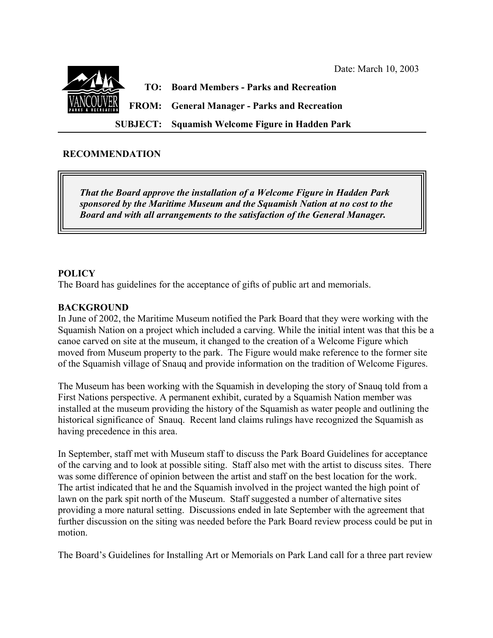



**SUBJECT: Squamish Welcome Figure in Hadden Park**

### **RECOMMENDATION**

*That the Board approve the installation of a Welcome Figure in Hadden Park sponsored by the Maritime Museum and the Squamish Nation at no cost to the Board and with all arrangements to the satisfaction of the General Manager.*

#### **POLICY**

The Board has guidelines for the acceptance of gifts of public art and memorials.

#### **BACKGROUND**

In June of 2002, the Maritime Museum notified the Park Board that they were working with the Squamish Nation on a project which included a carving. While the initial intent was that this be a canoe carved on site at the museum, it changed to the creation of a Welcome Figure which moved from Museum property to the park. The Figure would make reference to the former site of the Squamish village of Snauq and provide information on the tradition of Welcome Figures.

The Museum has been working with the Squamish in developing the story of Snauq told from a First Nations perspective. A permanent exhibit, curated by a Squamish Nation member was installed at the museum providing the history of the Squamish as water people and outlining the historical significance of Snauq. Recent land claims rulings have recognized the Squamish as having precedence in this area.

In September, staff met with Museum staff to discuss the Park Board Guidelines for acceptance of the carving and to look at possible siting. Staff also met with the artist to discuss sites. There was some difference of opinion between the artist and staff on the best location for the work. The artist indicated that he and the Squamish involved in the project wanted the high point of lawn on the park spit north of the Museum. Staff suggested a number of alternative sites providing a more natural setting. Discussions ended in late September with the agreement that further discussion on the siting was needed before the Park Board review process could be put in motion.

The Board's Guidelines for Installing Art or Memorials on Park Land call for a three part review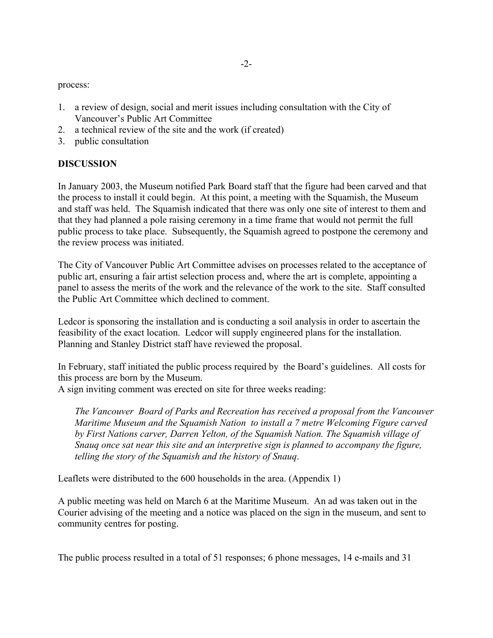process:

- 1. a review of design, social and merit issues including consultation with the City of Vancouver's Public Art Committee
- 2. a technical review of the site and the work (if created)
- 3. public consultation

## **DISCUSSION**

In January 2003, the Museum notified Park Board staff that the figure had been carved and that the process to install it could begin. At this point, a meeting with the Squamish, the Museum and staff was held. The Squamish indicated that there was only one site of interest to them and that they had planned a pole raising ceremony in a time frame that would not permit the full public process to take place. Subsequently, the Squamish agreed to postpone the ceremony and the review process was initiated.

The City of Vancouver Public Art Committee advises on processes related to the acceptance of public art, ensuring a fair artist selection process and, where the art is complete, appointing a panel to assess the merits of the work and the relevance of the work to the site. Staff consulted the Public Art Committee which declined to comment.

Ledcor is sponsoring the installation and is conducting a soil analysis in order to ascertain the feasibility of the exact location. Ledcor will supply engineered plans for the installation. Planning and Stanley District staff have reviewed the proposal.

In February, staff initiated the public process required by the Board's guidelines. All costs for this process are born by the Museum.

A sign inviting comment was erected on site for three weeks reading:

*The Vancouver Board of Parks and Recreation has received a proposal from the Vancouver Maritime Museum and the Squamish Nation to install a 7 metre Welcoming Figure carved by First Nations carver, Darren Yelton, of the Squamish Nation. The Squamish village of Snauq once sat near this site and an interpretive sign is planned to accompany the figure, telling the story of the Squamish and the history of Snauq*.

Leaflets were distributed to the 600 households in the area. (Appendix 1)

A public meeting was held on March 6 at the Maritime Museum. An ad was taken out in the Courier advising of the meeting and a notice was placed on the sign in the museum, and sent to community centres for posting.

The public process resulted in a total of 51 responses; 6 phone messages, 14 e-mails and 31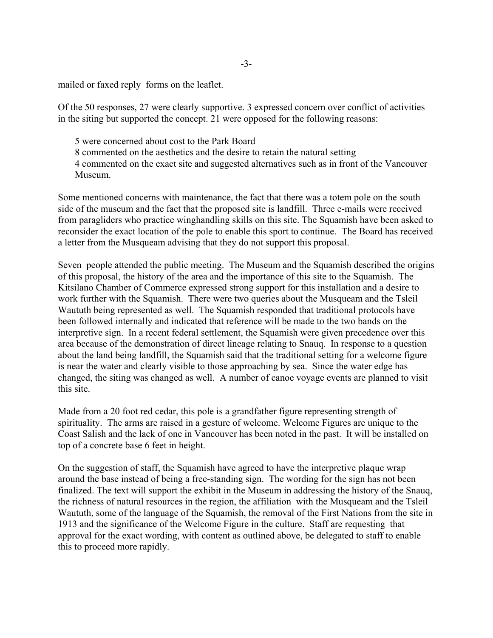mailed or faxed reply forms on the leaflet.

Of the 50 responses, 27 were clearly supportive. 3 expressed concern over conflict of activities in the siting but supported the concept. 21 were opposed for the following reasons:

5 were concerned about cost to the Park Board

8 commented on the aesthetics and the desire to retain the natural setting

4 commented on the exact site and suggested alternatives such as in front of the Vancouver Museum.

Some mentioned concerns with maintenance, the fact that there was a totem pole on the south side of the museum and the fact that the proposed site is landfill. Three e-mails were received from paragliders who practice winghandling skills on this site. The Squamish have been asked to reconsider the exact location of the pole to enable this sport to continue. The Board has received a letter from the Musqueam advising that they do not support this proposal.

Seven people attended the public meeting. The Museum and the Squamish described the origins of this proposal, the history of the area and the importance of this site to the Squamish. The Kitsilano Chamber of Commerce expressed strong support for this installation and a desire to work further with the Squamish. There were two queries about the Musqueam and the Tsleil Waututh being represented as well. The Squamish responded that traditional protocols have been followed internally and indicated that reference will be made to the two bands on the interpretive sign. In a recent federal settlement, the Squamish were given precedence over this area because of the demonstration of direct lineage relating to Snauq. In response to a question about the land being landfill, the Squamish said that the traditional setting for a welcome figure is near the water and clearly visible to those approaching by sea. Since the water edge has changed, the siting was changed as well. A number of canoe voyage events are planned to visit this site.

Made from a 20 foot red cedar, this pole is a grandfather figure representing strength of spirituality. The arms are raised in a gesture of welcome. Welcome Figures are unique to the Coast Salish and the lack of one in Vancouver has been noted in the past. It will be installed on top of a concrete base 6 feet in height.

On the suggestion of staff, the Squamish have agreed to have the interpretive plaque wrap around the base instead of being a free-standing sign. The wording for the sign has not been finalized. The text will support the exhibit in the Museum in addressing the history of the Snauq, the richness of natural resources in the region, the affiliation with the Musqueam and the Tsleil Waututh, some of the language of the Squamish, the removal of the First Nations from the site in 1913 and the significance of the Welcome Figure in the culture. Staff are requesting that approval for the exact wording, with content as outlined above, be delegated to staff to enable this to proceed more rapidly.